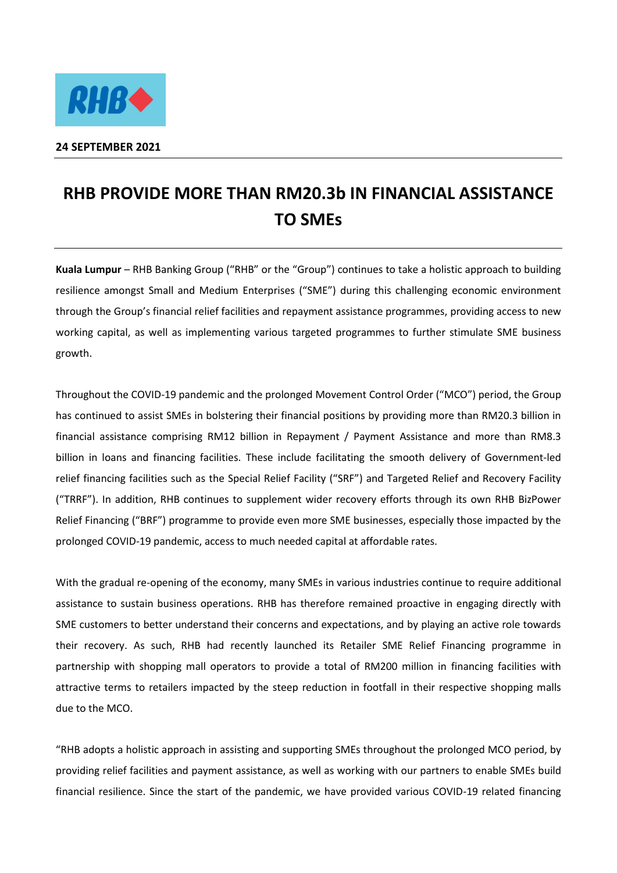

## **24 SEPTEMBER 2021**

## **RHB PROVIDE MORE THAN RM20.3b IN FINANCIAL ASSISTANCE TO SMEs**

**Kuala Lumpur** – RHB Banking Group ("RHB" or the "Group") continues to take a holistic approach to building resilience amongst Small and Medium Enterprises ("SME") during this challenging economic environment through the Group's financial relief facilities and repayment assistance programmes, providing access to new working capital, as well as implementing various targeted programmes to further stimulate SME business growth.

Throughout the COVID-19 pandemic and the prolonged Movement Control Order ("MCO") period, the Group has continued to assist SMEs in bolstering their financial positions by providing more than RM20.3 billion in financial assistance comprising RM12 billion in Repayment / Payment Assistance and more than RM8.3 billion in loans and financing facilities. These include facilitating the smooth delivery of Government-led relief financing facilities such as the Special Relief Facility ("SRF") and Targeted Relief and Recovery Facility ("TRRF"). In addition, RHB continues to supplement wider recovery efforts through its own RHB BizPower Relief Financing ("BRF") programme to provide even more SME businesses, especially those impacted by the prolonged COVID-19 pandemic, access to much needed capital at affordable rates.

With the gradual re-opening of the economy, many SMEs in various industries continue to require additional assistance to sustain business operations. RHB has therefore remained proactive in engaging directly with SME customers to better understand their concerns and expectations, and by playing an active role towards their recovery. As such, RHB had recently launched its Retailer SME Relief Financing programme in partnership with shopping mall operators to provide a total of RM200 million in financing facilities with attractive terms to retailers impacted by the steep reduction in footfall in their respective shopping malls due to the MCO.

"RHB adopts a holistic approach in assisting and supporting SMEs throughout the prolonged MCO period, by providing relief facilities and payment assistance, as well as working with our partners to enable SMEs build financial resilience. Since the start of the pandemic, we have provided various COVID-19 related financing